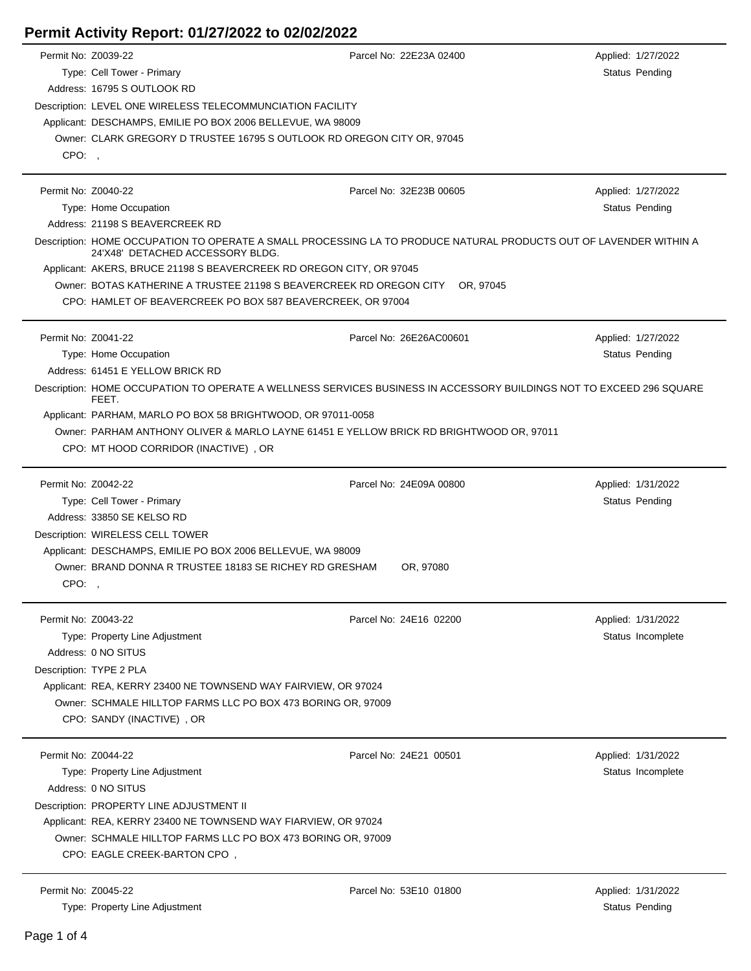## **Permit Activity Report: 01/27/2022 to 02/02/2022**

| Permit No: Z0039-22 |                                                                                                                                                        | Parcel No: 22E23A 02400                                                                                              | Applied: 1/27/2022    |  |  |  |  |
|---------------------|--------------------------------------------------------------------------------------------------------------------------------------------------------|----------------------------------------------------------------------------------------------------------------------|-----------------------|--|--|--|--|
|                     | Type: Cell Tower - Primary                                                                                                                             |                                                                                                                      | Status Pending        |  |  |  |  |
|                     | Address: 16795 S OUTLOOK RD                                                                                                                            |                                                                                                                      |                       |  |  |  |  |
|                     | Description: LEVEL ONE WIRELESS TELECOMMUNCIATION FACILITY                                                                                             |                                                                                                                      |                       |  |  |  |  |
|                     | Applicant: DESCHAMPS, EMILIE PO BOX 2006 BELLEVUE, WA 98009                                                                                            |                                                                                                                      |                       |  |  |  |  |
|                     | Owner: CLARK GREGORY D TRUSTEE 16795 S OUTLOOK RD OREGON CITY OR, 97045                                                                                |                                                                                                                      |                       |  |  |  |  |
| CPO:,               |                                                                                                                                                        |                                                                                                                      |                       |  |  |  |  |
|                     |                                                                                                                                                        |                                                                                                                      |                       |  |  |  |  |
| Permit No: Z0040-22 |                                                                                                                                                        | Parcel No: 32E23B 00605                                                                                              | Applied: 1/27/2022    |  |  |  |  |
|                     | Type: Home Occupation                                                                                                                                  |                                                                                                                      | Status Pending        |  |  |  |  |
|                     | Address: 21198 S BEAVERCREEK RD                                                                                                                        |                                                                                                                      |                       |  |  |  |  |
|                     | Description: HOME OCCUPATION TO OPERATE A SMALL PROCESSING LA TO PRODUCE NATURAL PRODUCTS OUT OF LAVENDER WITHIN A<br>24'X48' DETACHED ACCESSORY BLDG. |                                                                                                                      |                       |  |  |  |  |
|                     | Applicant: AKERS, BRUCE 21198 S BEAVERCREEK RD OREGON CITY, OR 97045                                                                                   |                                                                                                                      |                       |  |  |  |  |
|                     | Owner: BOTAS KATHERINE A TRUSTEE 21198 S BEAVERCREEK RD OREGON CITY                                                                                    | OR, 97045                                                                                                            |                       |  |  |  |  |
|                     | CPO: HAMLET OF BEAVERCREEK PO BOX 587 BEAVERCREEK, OR 97004                                                                                            |                                                                                                                      |                       |  |  |  |  |
|                     |                                                                                                                                                        |                                                                                                                      |                       |  |  |  |  |
| Permit No: Z0041-22 |                                                                                                                                                        | Parcel No: 26E26AC00601                                                                                              | Applied: 1/27/2022    |  |  |  |  |
|                     | Type: Home Occupation                                                                                                                                  |                                                                                                                      | Status Pending        |  |  |  |  |
|                     | Address: 61451 E YELLOW BRICK RD                                                                                                                       |                                                                                                                      |                       |  |  |  |  |
|                     |                                                                                                                                                        | Description: HOME OCCUPATION TO OPERATE A WELLNESS SERVICES BUSINESS IN ACCESSORY BUILDINGS NOT TO EXCEED 296 SQUARE |                       |  |  |  |  |
|                     | FEET.                                                                                                                                                  |                                                                                                                      |                       |  |  |  |  |
|                     | Applicant: PARHAM, MARLO PO BOX 58 BRIGHTWOOD, OR 97011-0058                                                                                           |                                                                                                                      |                       |  |  |  |  |
|                     | Owner: PARHAM ANTHONY OLIVER & MARLO LAYNE 61451 E YELLOW BRICK RD BRIGHTWOOD OR, 97011                                                                |                                                                                                                      |                       |  |  |  |  |
|                     | CPO: MT HOOD CORRIDOR (INACTIVE), OR                                                                                                                   |                                                                                                                      |                       |  |  |  |  |
|                     |                                                                                                                                                        |                                                                                                                      |                       |  |  |  |  |
| Permit No: Z0042-22 |                                                                                                                                                        | Parcel No: 24E09A 00800                                                                                              | Applied: 1/31/2022    |  |  |  |  |
|                     | Type: Cell Tower - Primary                                                                                                                             |                                                                                                                      | Status Pending        |  |  |  |  |
|                     | Address: 33850 SE KELSO RD                                                                                                                             |                                                                                                                      |                       |  |  |  |  |
|                     | Description: WIRELESS CELL TOWER                                                                                                                       |                                                                                                                      |                       |  |  |  |  |
|                     | Applicant: DESCHAMPS, EMILIE PO BOX 2006 BELLEVUE, WA 98009                                                                                            |                                                                                                                      |                       |  |  |  |  |
|                     | Owner: BRAND DONNA R TRUSTEE 18183 SE RICHEY RD GRESHAM                                                                                                | OR, 97080                                                                                                            |                       |  |  |  |  |
| CPO:,               |                                                                                                                                                        |                                                                                                                      |                       |  |  |  |  |
|                     |                                                                                                                                                        |                                                                                                                      |                       |  |  |  |  |
| Permit No: Z0043-22 |                                                                                                                                                        | Parcel No: 24E16 02200                                                                                               | Applied: 1/31/2022    |  |  |  |  |
|                     | Type: Property Line Adjustment                                                                                                                         |                                                                                                                      | Status Incomplete     |  |  |  |  |
|                     | Address: 0 NO SITUS                                                                                                                                    |                                                                                                                      |                       |  |  |  |  |
|                     | Description: TYPE 2 PLA                                                                                                                                |                                                                                                                      |                       |  |  |  |  |
|                     | Applicant: REA, KERRY 23400 NE TOWNSEND WAY FAIRVIEW, OR 97024                                                                                         |                                                                                                                      |                       |  |  |  |  |
|                     | Owner: SCHMALE HILLTOP FARMS LLC PO BOX 473 BORING OR, 97009                                                                                           |                                                                                                                      |                       |  |  |  |  |
|                     | CPO: SANDY (INACTIVE), OR                                                                                                                              |                                                                                                                      |                       |  |  |  |  |
|                     |                                                                                                                                                        |                                                                                                                      |                       |  |  |  |  |
| Permit No: Z0044-22 |                                                                                                                                                        | Parcel No: 24E21 00501                                                                                               | Applied: 1/31/2022    |  |  |  |  |
|                     | Type: Property Line Adjustment                                                                                                                         |                                                                                                                      | Status Incomplete     |  |  |  |  |
|                     | Address: 0 NO SITUS                                                                                                                                    |                                                                                                                      |                       |  |  |  |  |
|                     | Description: PROPERTY LINE ADJUSTMENT II                                                                                                               |                                                                                                                      |                       |  |  |  |  |
|                     | Applicant: REA, KERRY 23400 NE TOWNSEND WAY FIARVIEW, OR 97024                                                                                         |                                                                                                                      |                       |  |  |  |  |
|                     | Owner: SCHMALE HILLTOP FARMS LLC PO BOX 473 BORING OR, 97009                                                                                           |                                                                                                                      |                       |  |  |  |  |
|                     | CPO: EAGLE CREEK-BARTON CPO,                                                                                                                           |                                                                                                                      |                       |  |  |  |  |
|                     |                                                                                                                                                        |                                                                                                                      |                       |  |  |  |  |
| Permit No: Z0045-22 |                                                                                                                                                        | Parcel No: 53E10 01800                                                                                               | Applied: 1/31/2022    |  |  |  |  |
|                     | Type: Property Line Adjustment                                                                                                                         |                                                                                                                      | <b>Status Pending</b> |  |  |  |  |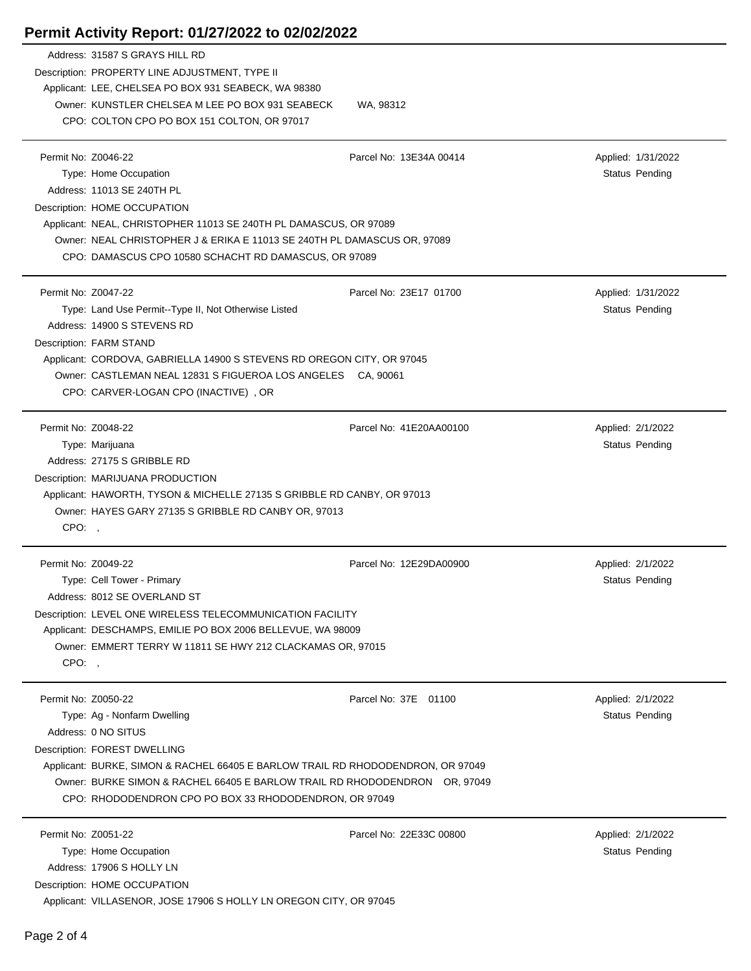|                               | Address: 31587 S GRAYS HILL RD<br>Description: PROPERTY LINE ADJUSTMENT, TYPE II<br>Applicant: LEE, CHELSEA PO BOX 931 SEABECK, WA 98380<br>Owner: KUNSTLER CHELSEA M LEE PO BOX 931 SEABECK<br>CPO: COLTON CPO PO BOX 151 COLTON, OR 97017                                                                   | WA, 98312               |                                      |
|-------------------------------|---------------------------------------------------------------------------------------------------------------------------------------------------------------------------------------------------------------------------------------------------------------------------------------------------------------|-------------------------|--------------------------------------|
| Permit No: Z0046-22           | Type: Home Occupation<br>Address: 11013 SE 240TH PL<br>Description: HOME OCCUPATION<br>Applicant: NEAL, CHRISTOPHER 11013 SE 240TH PL DAMASCUS, OR 97089<br>Owner: NEAL CHRISTOPHER J & ERIKA E 11013 SE 240TH PL DAMASCUS OR, 97089<br>CPO: DAMASCUS CPO 10580 SCHACHT RD DAMASCUS, OR 97089                 | Parcel No: 13E34A 00414 | Applied: 1/31/2022<br>Status Pending |
| Permit No: Z0047-22           | Type: Land Use Permit--Type II, Not Otherwise Listed<br>Address: 14900 S STEVENS RD<br>Description: FARM STAND<br>Applicant: CORDOVA, GABRIELLA 14900 S STEVENS RD OREGON CITY, OR 97045<br>Owner: CASTLEMAN NEAL 12831 S FIGUEROA LOS ANGELES CA, 90061<br>CPO: CARVER-LOGAN CPO (INACTIVE), OR              | Parcel No: 23E17 01700  | Applied: 1/31/2022<br>Status Pending |
| Permit No: Z0048-22<br>CPO: . | Type: Marijuana<br>Address: 27175 S GRIBBLE RD<br>Description: MARIJUANA PRODUCTION<br>Applicant: HAWORTH, TYSON & MICHELLE 27135 S GRIBBLE RD CANBY, OR 97013<br>Owner: HAYES GARY 27135 S GRIBBLE RD CANBY OR, 97013                                                                                        | Parcel No: 41E20AA00100 | Applied: 2/1/2022<br>Status Pending  |
| Permit No: Z0049-22<br>CPO:,  | Type: Cell Tower - Primary<br>Address: 8012 SE OVERLAND ST<br>Description: LEVEL ONE WIRELESS TELECOMMUNICATION FACILITY<br>Applicant: DESCHAMPS, EMILIE PO BOX 2006 BELLEVUE, WA 98009<br>Owner: EMMERT TERRY W 11811 SE HWY 212 CLACKAMAS OR, 97015                                                         | Parcel No: 12E29DA00900 | Applied: 2/1/2022<br>Status Pending  |
| Permit No: Z0050-22           | Type: Ag - Nonfarm Dwelling<br>Address: 0 NO SITUS<br>Description: FOREST DWELLING<br>Applicant: BURKE, SIMON & RACHEL 66405 E BARLOW TRAIL RD RHODODENDRON, OR 97049<br>Owner: BURKE SIMON & RACHEL 66405 E BARLOW TRAIL RD RHODODENDRON OR, 97049<br>CPO: RHODODENDRON CPO PO BOX 33 RHODODENDRON, OR 97049 | Parcel No: 37E 01100    | Applied: 2/1/2022<br>Status Pending  |
|                               | Permit No: Z0051-22                                                                                                                                                                                                                                                                                           | Parcel No: 22E33C 00800 | Applied: 2/1/2022                    |

Description: HOME OCCUPATION

## **Permit Activity Report: 01/27/2022 to 02/02/2022**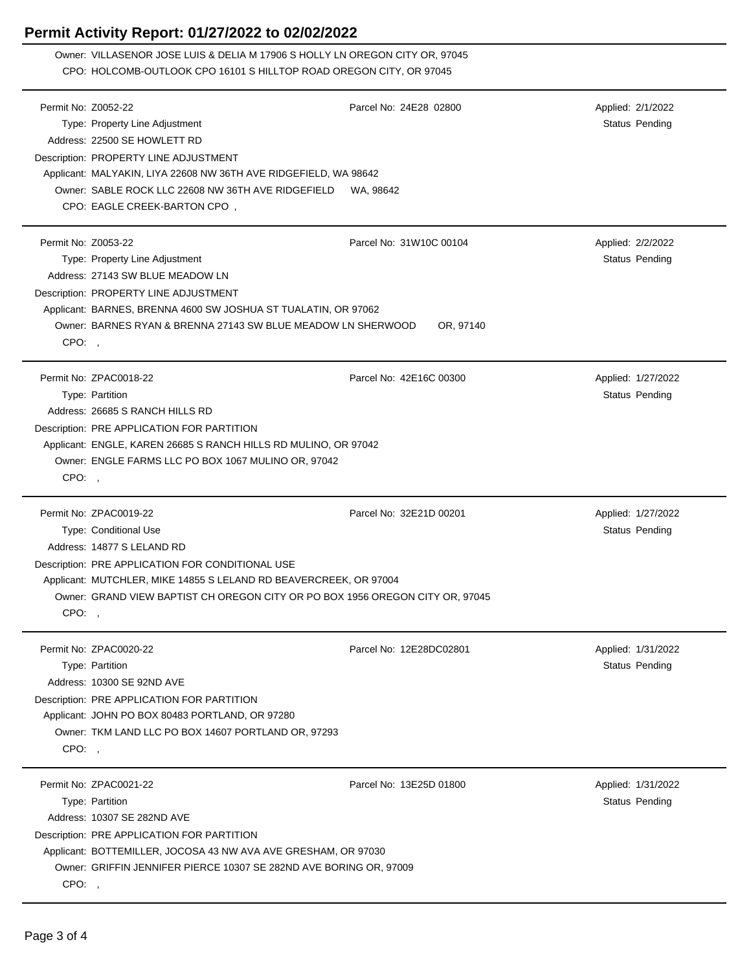## **Permit Activity Report: 01/27/2022 to 02/02/2022**

Owner: VILLASENOR JOSE LUIS & DELIA M 17906 S HOLLY LN OREGON CITY OR, 97045 CPO: HOLCOMB-OUTLOOK CPO 16101 S HILLTOP ROAD OREGON CITY, OR 97045

|                     | Permit No: Z0052-22                                                           | Parcel No: 24E28 02800  | Applied: 2/1/2022     |  |  |
|---------------------|-------------------------------------------------------------------------------|-------------------------|-----------------------|--|--|
|                     | Type: Property Line Adjustment                                                |                         | <b>Status Pending</b> |  |  |
|                     | Address: 22500 SE HOWLETT RD                                                  |                         |                       |  |  |
|                     | Description: PROPERTY LINE ADJUSTMENT                                         |                         |                       |  |  |
|                     | Applicant: MALYAKIN, LIYA 22608 NW 36TH AVE RIDGEFIELD, WA 98642              |                         |                       |  |  |
|                     | Owner: SABLE ROCK LLC 22608 NW 36TH AVE RIDGEFIELD                            | WA, 98642               |                       |  |  |
|                     | CPO: EAGLE CREEK-BARTON CPO,                                                  |                         |                       |  |  |
|                     |                                                                               |                         |                       |  |  |
| Permit No: Z0053-22 |                                                                               | Parcel No: 31W10C 00104 | Applied: 2/2/2022     |  |  |
|                     | Type: Property Line Adjustment                                                |                         | <b>Status Pending</b> |  |  |
|                     | Address: 27143 SW BLUE MEADOW LN                                              |                         |                       |  |  |
|                     | Description: PROPERTY LINE ADJUSTMENT                                         |                         |                       |  |  |
|                     | Applicant: BARNES, BRENNA 4600 SW JOSHUA ST TUALATIN, OR 97062                |                         |                       |  |  |
|                     | Owner: BARNES RYAN & BRENNA 27143 SW BLUE MEADOW LN SHERWOOD                  | OR, 97140               |                       |  |  |
| CPO:,               |                                                                               |                         |                       |  |  |
|                     |                                                                               |                         |                       |  |  |
|                     | Permit No: ZPAC0018-22                                                        | Parcel No: 42E16C 00300 | Applied: 1/27/2022    |  |  |
|                     | Type: Partition                                                               |                         | Status Pending        |  |  |
|                     | Address: 26685 S RANCH HILLS RD                                               |                         |                       |  |  |
|                     | Description: PRE APPLICATION FOR PARTITION                                    |                         |                       |  |  |
|                     | Applicant: ENGLE, KAREN 26685 S RANCH HILLS RD MULINO, OR 97042               |                         |                       |  |  |
|                     | Owner: ENGLE FARMS LLC PO BOX 1067 MULINO OR, 97042                           |                         |                       |  |  |
| CPO:,               |                                                                               |                         |                       |  |  |
|                     |                                                                               |                         |                       |  |  |
|                     | Permit No: ZPAC0019-22                                                        | Parcel No: 32E21D 00201 |                       |  |  |
|                     |                                                                               |                         |                       |  |  |
|                     |                                                                               |                         | Applied: 1/27/2022    |  |  |
|                     | Type: Conditional Use                                                         |                         | Status Pending        |  |  |
|                     | Address: 14877 S LELAND RD                                                    |                         |                       |  |  |
|                     | Description: PRE APPLICATION FOR CONDITIONAL USE                              |                         |                       |  |  |
|                     | Applicant: MUTCHLER, MIKE 14855 S LELAND RD BEAVERCREEK, OR 97004             |                         |                       |  |  |
|                     | Owner: GRAND VIEW BAPTIST CH OREGON CITY OR PO BOX 1956 OREGON CITY OR, 97045 |                         |                       |  |  |
| CPO:,               |                                                                               |                         |                       |  |  |
|                     | Permit No: ZPAC0020-22                                                        | Parcel No: 12E28DC02801 | Applied: 1/31/2022    |  |  |
|                     |                                                                               |                         |                       |  |  |
|                     | Type: Partition<br>Address: 10300 SE 92ND AVE                                 |                         | Status Pending        |  |  |
|                     |                                                                               |                         |                       |  |  |
|                     | Description: PRE APPLICATION FOR PARTITION                                    |                         |                       |  |  |
|                     | Applicant: JOHN PO BOX 80483 PORTLAND, OR 97280                               |                         |                       |  |  |
|                     | Owner: TKM LAND LLC PO BOX 14607 PORTLAND OR, 97293                           |                         |                       |  |  |
| CPO: ,              |                                                                               |                         |                       |  |  |
|                     | Permit No: ZPAC0021-22                                                        | Parcel No: 13E25D 01800 |                       |  |  |
|                     |                                                                               |                         | Applied: 1/31/2022    |  |  |
|                     | Type: Partition                                                               |                         | <b>Status Pending</b> |  |  |
|                     | Address: 10307 SE 282ND AVE                                                   |                         |                       |  |  |
|                     | Description: PRE APPLICATION FOR PARTITION                                    |                         |                       |  |  |
|                     | Applicant: BOTTEMILLER, JOCOSA 43 NW AVA AVE GRESHAM, OR 97030                |                         |                       |  |  |
| CPO:,               | Owner: GRIFFIN JENNIFER PIERCE 10307 SE 282ND AVE BORING OR, 97009            |                         |                       |  |  |